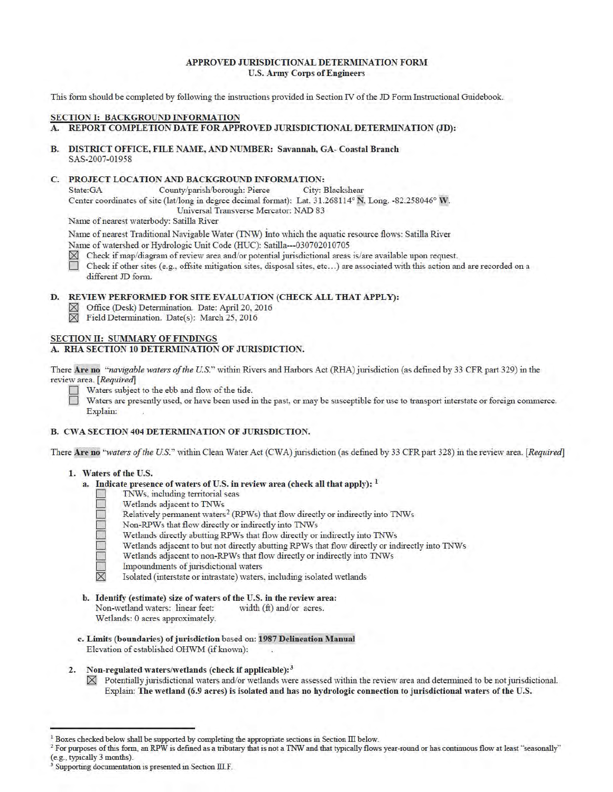## APPROVED JURISDICTIONAL DETERMINATION FORM U.S. Army Corps of Engineers

This form should be completed by following the instructions provided in Section IV of the JD Form Instructional Guidebook.

## SECTION I: BACKGROUND INFORMATION

A. REPORT COMPLETION DATE FOR APPROVED JURISDICTIONAL DETERMINATION (JD):

B. DISTRICT OFFICE, FILE NAME, AND NUMBER: Savannah, GA- Coastal Branch SAS-2007-01958

#### C. PROJECT LOCATION AND BACKGROUND INFORMATION:

State:GA County/parish/borough: Pierce City: Blackshear Center coordinates of site (lat/long in degree decimal format): Lat. 31.268114° N, Long. -82.258046° W.

Universal Transverse Mercator: NAD 83

Name of nearest waterbody: Satilla River

Name of nearest Traditional Navigable Water (TNW) into which the aquatic resource flows: Satilla River Name of watershed or Hydrologic Unit Code (HUC): Satilla---030702010705

 $\boxtimes$  Check if map/diagram of review area and/or potential jurisdictional areas is/are available upon request.<br>
Check if other sites (e.g., offsite mitigation sites, disposal sites, etc...) are associated with this action

Check if other sites (e.g., offsite mitigation sites, disposal sites, etc...) are associated with this action and are recorded on a different JD form.

# D. REVIEW PERFORMED FOR SITE EVALUATION (CHECK ALL THAT APPLY):

- 0 Office (Desk) Detemiination. Date: April 20, 2016
- $\boxtimes$  Field Determination. Date(s): March 25, 2016

#### SECTION II: SUMMARY OF FINDINGS

#### A. RHA SECTION 10 DETERMINATION OF JURISDICTION.

There Are no *"navigable waters of the U.S."* within Rivers and Harbors Act (RHA) jurisdiction (as defined by 33 CFR part 329) in the review area. *[Required]* 

Waters subject to the ebb and flow of the tide.

Waters are presently used, or have been used in the past, or may be susceptible for use to transport interstate or foreign commerce. Explain:

# B. CWA SECTION 404 DETERMINATION OF JURISDICTION.

There Are no "waters of the U.S." within Clean Water Act (CWA) jurisdiction (as defined by 33 CFR part 328) in the review area. [Required]

#### 1. Waters of the U.S.

- a. Indicate presence of waters of U.S. in review area (check all that apply):  $<sup>1</sup>$ </sup>
	- TNWs, including territorial seas
	- Wetlands adjacent to TNWs
	- Relatively permanent waters<sup>2</sup> (RPWs) that flow directly or indirectly into TNWs
	-
	- Wetlands directly abutting RPWs that flow directly or indirectly into TNWs
	- Wetlands adjacent to but not directly abutting RPWs that flow directly or indirectly into TNWs
	- Non-RPWs that flow directly or indirectly into TNWs<br>Wetlands directly abutting RPWs that flow directly or<br>Wetlands adjacent to but not directly abutting RPWs t<br>Wetlands adjacent to non-RPWs that flow directly or in<br>Impound Wetlands adjacent to non-RPWs that flow directly or indirectly into TNWs
		- Impoundments of jurisdictional waters
		- Isolated (interstate or intrastate) waters, including isolated wetlands
- b. Identify (estimate) size of waters of the U.S. in the review area: Non-wetland waters: linear feet: width (ft) and/or acres.

Wetlands: 0 acres approximately.

- c. Limits (boundaries) of jurisdiction based on: 1987 Delineation Manual Elevation of established OHWM (if known):
- 2. Non-regulated waters/wetlands (check if applicable): $3$ 
	- $\boxtimes$  Potentially jurisdictional waters and/or wetlands were assessed within the review area and determined to be not jurisdictional. Explain: The wetland (6.9 acres) is isolated and has no hydrologic connection to jurisdictional waters of the U.S.

 $1$  Boxes checked below shall be supported by completing the appropriate sections in Section III below.

<sup>&</sup>lt;sup>2</sup> For purposes of this form, an RPW is defined as a tributary that is not a TNW and that typically flows year-round or has continuous flow at least "seasonally" (e.g., typically 3 months).

Supporting documentation is presented in Section III.F.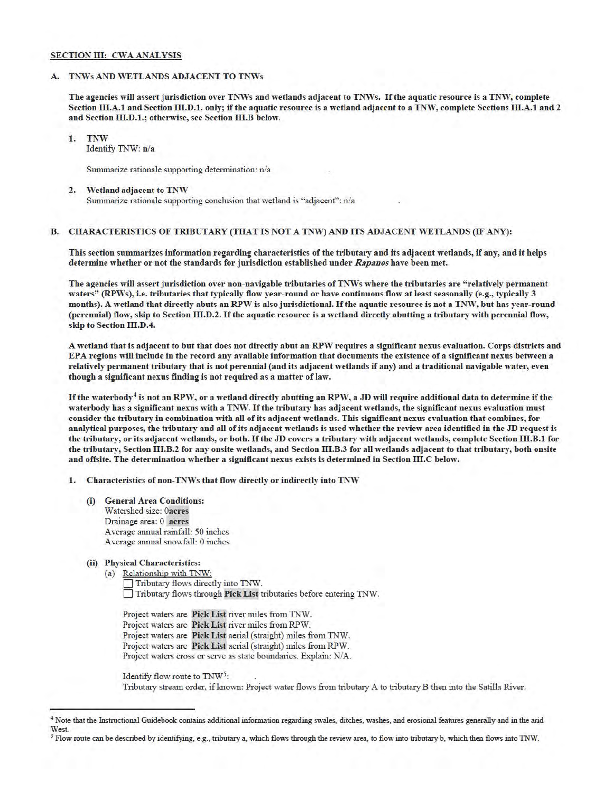#### SECTION III: CWA ANALYSIS

## A. TNWs AND WETLANDS ADJACENT TO TNWs

The agencies will assert jurisdiction over TNWs and wetlands adjacent to TNWs. If the aquatic resource is a TNW, complete Section III.A.1 and Section III.D.1. only; if the aquatic resource is a wetland adjacent to a TNW, complete Sections III.A.1 and 2 and Section III.D.1.; otherwise, see Section III.B below.

1. TNW Identify TNW: n/a

Summarize rationale supporting determination:  $n/a$ 

#### 2. Wetland adjacent to TNW

Summarize rationale supporting conclusion that wetland is "adjacent": n/a

# B. CHARACTERISTICS OF TRIBUTARY (THAT IS NOT A TNW) AND ITS ADJACENT WETLANDS (IF ANY):

This section summarizes information regarding characteristics of the tributary and its adjacent wetlands, if any, and it helps determine whether or not the standards for jurisdiction established under *Rapanos* have been met.

The agencies will assert jurisdiction over non-navigable tributaries of TNWs where the tributaries are "relatively permanent waters" (RPWs), i.e. tributaries that typically flow year-round or have continuous flow at least seasonally (e.g., typically 3 months). A wetland that directly abuts an RPW is also jurisdictional. If the aquatic resource is not a TNW, but has year-round (perennial) flow, skip to Section III.D.2. If the aquatic resource is a wetland directly abutting a tributary with perennial flow, skip to Section III.D.4.

A wetland that is adjacent to but that does not directly abut an RPW requires a significant nexus evaluation. Corps districts and EPA regions will include in the record any available information that documents the existence of a significant nexus between a relatively permanent tributary that is not perennial (and its adjacent wetlands if any) and a traditional navigable water, even though a significant nexus finding is not required as a matter of law.

If the waterbody<sup>4</sup> is not an RPW, or a wetland directly abutting an RPW, a JD will require additional data to determine if the waterbody has a significant nexus with a TNW. If the tributary has adjacent wetlands, the significant nexus evaluation must consider the tributary in combination with all of its adjacent wetlands. This significant nexus evaluation that combines, for analytical purposes, the tributary and all of its adjacent wetlands is used whether the review area identified in the JD request is the tributary, or its adjacent wetlands, or both. If the JD covers a tributary with adjacent wetlands, complete Section III.B.1 for the tributary, Section 111.B.2 for any onsite wetlands, and Section 111.B.3 for all wetlands adjacent to that tributary, both onsite and offsite. The determination whether a significant nexus exists is determined in Section III.C below.

1. Characteristics of non-TNWs that flow directly or indirectly into TNW

(i) General Area Conditions: Watershed size: 0acres Drainage area: 0 acres Average annual rainfall: 50 inches Average annual snowfall: 0 inches

# (ii) Physical Characteristics:

(a) Relationship with TNW: 0 Tributary flows directly into TNW. 0 Tributary flows through PickList tributaries before entering TNW.

Project waters are Pick List river miles from TNW. Project waters are Pick List river miles from RPW. Project waters are Pick List aerial (straight) miles from TNW. Project waters are Pick List aerial (straight) miles from RPW. Project waters cross or serve as state boundaries. Explain: N/A.

Identify flow route to  $TNW<sup>5</sup>$ :

Tributary stream order, if known: Project water flows from tributary A to tributary B then into the Satilla River.

<sup>4</sup>Note that the Instructional Guidebook contains additional information regarding swales, ditches, washes, and erosional features generally and in the arid West.

*<sup>5</sup>* Flow route can be described by identifying, e.g., tributary a, which flows through the review area, to flow into tributary b, which then flows into 1NW.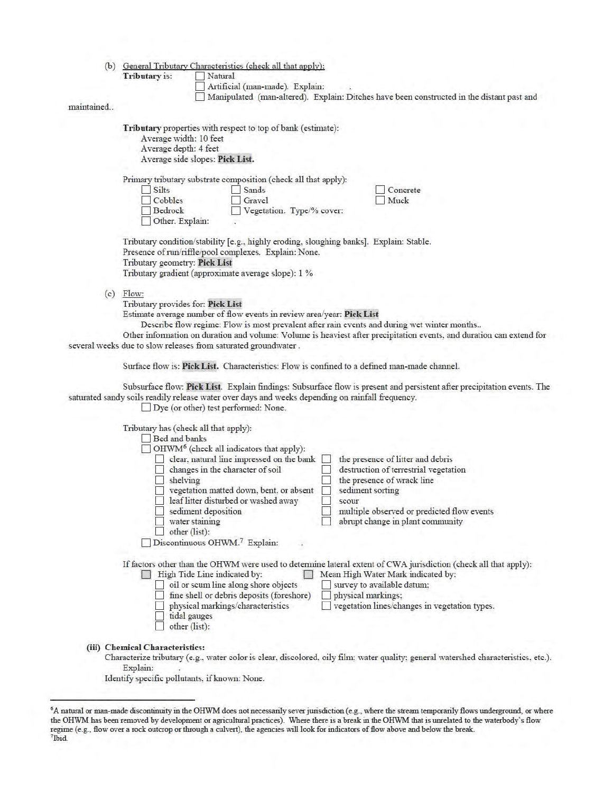|  | (b) General Tributary Characteristics (check all that apply): |  |
|--|---------------------------------------------------------------|--|
|  |                                                               |  |

Tributary is: Natural

- Artificial (man-made). Explain:
- 1 Manipulated (man-altered). Explain: Ditches have been constructed in the distant past and

## maintained..

Tributary properties with respect to top of bank (estimate):

- Average width: 10 feet
- Average depth: 4 feet

Average side slopes: Pick List.

Primary tributary substrate composition (check all that apply):

| __<br>$\Box$ Silts | Sands                     | Concrete |
|--------------------|---------------------------|----------|
| Cobbles            | Gravel                    | Muck     |
| Bedrock            | Vegetation. Type/% cover: |          |
| Other. Explain:    |                           |          |

Tributary condition/stability [e.g., highly eroding, sloughing banks]. Explain: Stable. Presence of run/riffle/pool complexes. Explain: None. Tributary geometry: Pick List Tributary gradient (approximate average slope): 1 %

 $(c)$  Flow:

Tributary provides for: Pick List

Estimate average number of flow events in review area/year: Pick List

Describe flow regime: Flow is most prevalent after rain events and during wet winter months ..

Other information on duration and volume: Volume is heaviest after precipitation events, and duration can extend for several weeks due to slow releases from saturated groundwater .

Stuface flow is: Pick List. Characteristics: Flow is confined to a defined man-made channel.

Substuface flow: Pick List. Explain findings: Subsurface flow is present and persistent after precipitation events. The satmated sandy soils readily release water over days and weeks depending on rainfall frequency.

 $\Box$  Dye (or other) test performed: None.

| Tributary has (check all that apply):<br>Bed and banks<br>OHWM <sup>6</sup> (check all indicators that apply):<br>clear, natural line impressed on the bank<br>changes in the character of soil<br>shelving<br>vegetation matted down, bent, or absent<br>leaf litter disturbed or washed away<br>sediment deposition<br>water staining<br>other (list):<br>Discontinuous OHWM. <sup>7</sup> Explain: | the presence of litter and debris<br>destruction of terrestrial vegetation<br>the presence of wrack line<br>sediment sorting<br>scour<br>multiple observed or predicted flow events<br>abrupt change in plant community                                     |
|-------------------------------------------------------------------------------------------------------------------------------------------------------------------------------------------------------------------------------------------------------------------------------------------------------------------------------------------------------------------------------------------------------|-------------------------------------------------------------------------------------------------------------------------------------------------------------------------------------------------------------------------------------------------------------|
| High Tide Line indicated by:<br>oil or scum line along shore objects<br>fine shell or debris deposits (foreshore)<br>physical markings/characteristics<br>tidal gauges<br>other (list):                                                                                                                                                                                                               | If factors other than the OHWM were used to determine lateral extent of CWA jurisdiction (check all that apply):<br>Mean High Water Mark indicated by:<br>survey to available datum;<br>physical markings;<br>vegetation lines/changes in vegetation types. |
| (iii) Chemical Characteristics:<br>Explain:                                                                                                                                                                                                                                                                                                                                                           | Characterize tributary (e.g., water color is clear, discolored, oily film; water quality; general watershed characteristics, etc.).                                                                                                                         |

Identify specific pollutants, if known: None.

<sup>6</sup>A natural or man-made discontinuity in the OHWM does not necessarily sever jurisdiction (e.g., where the stream temporarily flows underground, or where the OHWM has been removed by development or agricultural practices). Where there is a break in the OHWM that is unrelated to the waterbody's flow regime (e.g., flow over a rock outcrop or through a culvert), the agencies will look for indicators offlow above and below the break. 7 lbid.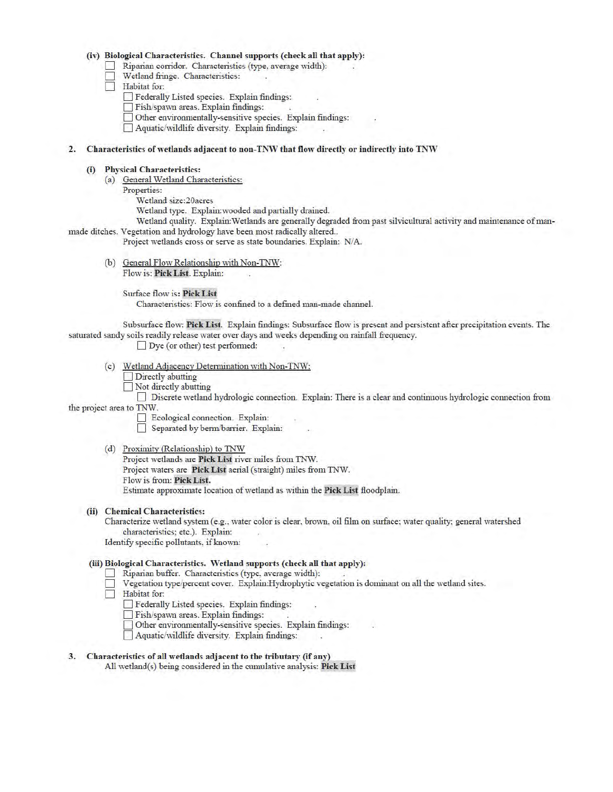#### (iv) Biological Characteristics. Channel supports (check all that apply):

- $\Box$  Riparian corridor. Characteristics (type, average width):
- D Wetland fringe. Characteristics:
- $\Box$  Habitat for:
	- D Federally Listed species. Explain findings:
	- Fish/spawn areas. Explain findings:
	- 0 Other environmentally-sensitive species. Explain findings:
	- 0 Aquatic/wildlife diversity. Explain findings:

#### 2. Characteristics of wetlands adjacent to non-TNW that flow directly or indirectly into TNW

#### (i) Physical Characteristics:

- (a) General Wetland Characteristics:
	- Properties:
		- Wetland size:20acres
		- Wetland type. Explain:wooded and partially drained.
- Wetland quality. Explain: Wetlands are generally degraded from past silvicultural activity and maintenance of manmade ditches. Vegetation and hydrology have been most radically altered..

Project wetlands cross or serve as state boundaries. Explain: N/A.

(b) General Flow Relationship with Non-TNW: Flow is: Pick List. Explain:

Surface flow is: Pick List

Characteristics: Flow is confined to a defined man-made channel.

Substuface flow: Pick List. Explain findings: Subsurface flow is present and persistent after precipitation events. The saturated sandy soils readily release water over days and weeks depending on rainfall frequency.

 $\Box$  Dye (or other) test performed:

- (c) Wetland Adjacency Detennination with Non-TNW:
	- Directly abutting
	- Not directly abutting

0 Discrete wetland hydrologic connection. Explain: TI1ere is a clear and continuous hydro logic connection from

- the project area to TNW.
	- D Ecological connection. Explain:

Separated by berm/barrier. Explain:

(d) Proxinutv (Relationship) to TNW

Project wetlands are Pick List river miles from TNW. Project waters are Pick List aerial (straight) miles from TNW. Flow is from: Pick List. Estimate approximate location of wetland as within the Pick List floodplain.

(ii) Chemical Characteristics:

Characterize wetland system (e.g., water color is clear, brown, oil film on surface; water quality; general watershed characteristics; etc.). Explain:

Identify specific pollutants, if known:

## (iii) Biological Characteristics. Wetland supports (check all that apply):

- 0 Riparian buffer. Characteristics (type, average width):
- 0 Vegetation type/percent cover. Explain:Hydrophytic vegetation is doniinant on all the wetland sites.
- $\Box$  Habitat for:
	- D Federally Listed species. Explain findings:
	- 0 Fish/spawn areas. Explain findings:
	- 0 Other environmentally-sensitive species. Explain findings:
	- 0 Aquatic/wildlife diversity. Explain findings:
- 3. Characteristics of all wetlands adjacent to the tributary (if any) All wetland(s) being considered in the cumulative analysis: Pick List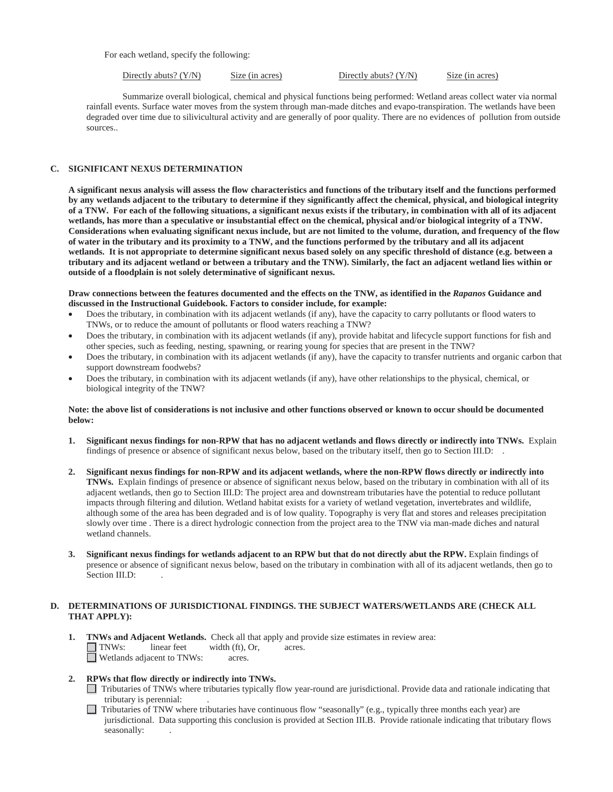For each wetland, specify the following:

Directly abuts? (Y/N) Size (in acres) Directly abuts? (Y/N) Size (in acres)

Summarize overall biological, chemical and physical functions being performed: Wetland areas collect water via normal rainfall events. Surface water moves from the system through man-made ditches and evapo-transpiration. The wetlands have been degraded over time due to silivicultural activity and are generally of poor quality. There are no evidences of pollution from outside sources..

#### **C. SIGNIFICANT NEXUS DETERMINATION**

 **wetlands, has more than a speculative or insubstantial effect on the chemical, physical and/or biological integrity of a TNW. Considerations when evaluating significant nexus include, but are not limited to the volume, duration, and frequency of the flow outside of a floodplain is not solely determinative of significant nexus. A significant nexus analysis will assess the flow characteristics and functions of the tributary itself and the functions performed by any wetlands adjacent to the tributary to determine if they significantly affect the chemical, physical, and biological integrity of a TNW. For each of the following situations, a significant nexus exists if the tributary, in combination with all of its adjacent of water in the tributary and its proximity to a TNW, and the functions performed by the tributary and all its adjacent wetlands. It is not appropriate to determine significant nexus based solely on any specific threshold of distance (e.g. between a tributary and its adjacent wetland or between a tributary and the TNW). Similarly, the fact an adjacent wetland lies within or** 

**Draw connections between the features documented and the effects on the TNW, as identified in the** *Rapanos* **Guidance and discussed in the Instructional Guidebook. Factors to consider include, for example:** 

- TNWs, or to reduce the amount of pollutants or flood waters reaching a TNW? Does the tributary, in combination with its adjacent wetlands (if any), have the capacity to carry pollutants or flood waters to
- other species, such as feeding, nesting, spawning, or rearing young for species that are present in the TNW? Does the tributary, in combination with its adjacent wetlands (if any), provide habitat and lifecycle support functions for fish and
- support downstream foodwebs? Does the tributary, in combination with its adjacent wetlands (if any), have the capacity to transfer nutrients and organic carbon that
- biological integrity of the TNW? Does the tributary, in combination with its adjacent wetlands (if any), have other relationships to the physical, chemical, or

#### **Note: the above list of considerations is not inclusive and other functions observed or known to occur should be documented below:**

- **1. Significant nexus findings for non-RPW that has no adjacent wetlands and flows directly or indirectly into TNWs.** Explain findings of presence or absence of significant nexus below, based on the tributary itself, then go to Section III.D: .
- slowly over time . There is a direct hydrologic connection from the project area to the TNW via man-made diches and natural **2. Significant nexus findings for non-RPW and its adjacent wetlands, where the non-RPW flows directly or indirectly into TNWs.** Explain findings of presence or absence of significant nexus below, based on the tributary in combination with all of its adjacent wetlands, then go to Section III.D: The project area and downstream tributaries have the potential to reduce pollutant impacts through filtering and dilution. Wetland habitat exists for a variety of wetland vegetation, invertebrates and wildlife, although some of the area has been degraded and is of low quality. Topography is very flat and stores and releases precipitation wetland channels.
- **3. Significant nexus findings for wetlands adjacent to an RPW but that do not directly abut the RPW.** Explain findings of presence or absence of significant nexus below, based on the tributary in combination with all of its adjacent wetlands, then go to Section III.D:

# **D. DETERMINATIONS OF JURISDICTIONAL FINDINGS. THE SUBJECT WATERS/WETLANDS ARE (CHECK ALL THAT APPLY):**

- acres. **1. TNWs and Adjacent Wetlands.** Check all that apply and provide size estimates in review area:  $\Box$  TNWs: linear feet width (ft), Or, Wetlands adjacent to TNWs: acres.
- **2. RPWs that flow directly or indirectly into TNWs.** 
	- Tributaries of TNWs where tributaries typically flow year-round are jurisdictional. Provide data and rationale indicating that tributary is perennial: .
	- jurisdictional. Data supporting this conclusion is provided at Section III.B. Provide rationale indicating that tributary flows  $\Box$  Tributaries of TNW where tributaries have continuous flow "seasonally" (e.g., typically three months each year) are seasonally: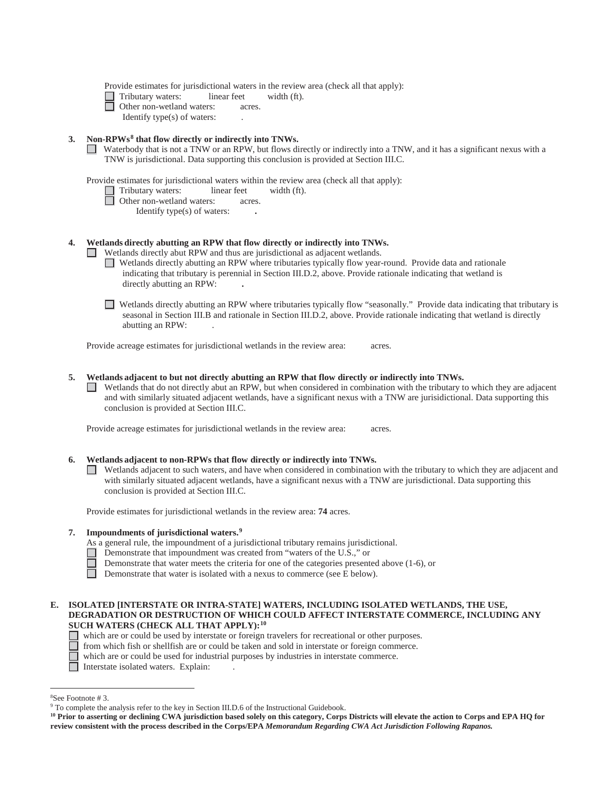Provide estimates for jurisdictional waters in the review area (check all that apply):

 $width  $(ft)$ .$  $\Box$  Tributary waters: linear feet

Other non-wetland waters: acres.

Identify type(s) of waters: .

# **3. Non-RPWs8 that flow directly or indirectly into TNWs.**

 TNW is jurisdictional. Data supporting this conclusion is provided at Section III.C. Waterbody that is not a TNW or an RPW, but flows directly or indirectly into a TNW, and it has a significant nexus with a

Provide estimates for jurisdictional waters within the review area (check all that apply):

- $width *(ft)*.$  $\Box$  Tributary waters: linear feet
- □ Other non-wetland waters: acres.

Identify type(s) of waters: **.** 

# **4. Wetlands directly abutting an RPW that flow directly or indirectly into TNWs.**

Wetlands directly abut RPW and thus are jurisdictional as adjacent wetlands.

- Wetlands directly abutting an RPW where tributaries typically flow year-round. Provide data and rationale indicating that tributary is perennial in Section III.D.2, above. Provide rationale indicating that wetland is directly abutting an RPW: **.**
- Wetlands directly abutting an RPW where tributaries typically flow "seasonally." Provide data indicating that tributary is seasonal in Section III.B and rationale in Section III.D.2, above. Provide rationale indicating that wetland is directly abutting an RPW: .

Provide acreage estimates for jurisdictional wetlands in the review area: acres.

## **5. Wetlands adjacent to but not directly abutting an RPW that flow directly or indirectly into TNWs.**

 Wetlands that do not directly abut an RPW, but when considered in combination with the tributary to which they are adjacent and with similarly situated adjacent wetlands, have a significant nexus with a TNW are jurisidictional. Data supporting this conclusion is provided at Section III.C.

Provide acreage estimates for jurisdictional wetlands in the review area: acres.

## **6. Wetlands adjacent to non-RPWs that flow directly or indirectly into TNWs.**

 conclusion is provided at Section III.C. Wetlands adjacent to such waters, and have when considered in combination with the tributary to which they are adjacent and with similarly situated adjacent wetlands, have a significant nexus with a TNW are jurisdictional. Data supporting this

Provide estimates for jurisdictional wetlands in the review area: **74** acres.

## **7. Impoundments of jurisdictional waters.9**

- As a general rule, the impoundment of a jurisdictional tributary remains jurisdictional.
- Demonstrate that impoundment was created from "waters of the U.S.," or
- Demonstrate that water meets the criteria for one of the categories presented above (1-6), or
- $\Box$ Demonstrate that water is isolated with a nexus to commerce (see E below).

## **E. ISOLATED [INTERSTATE OR INTRA-STATE] WATERS, INCLUDING ISOLATED WETLANDS, THE USE, DEGRADATION OR DESTRUCTION OF WHICH COULD AFFECT INTERSTATE COMMERCE, INCLUDING ANY SUCH WATERS (CHECK ALL THAT APPLY):10**

- which are or could be used by interstate or foreign travelers for recreational or other purposes.
	- from which fish or shellfish are or could be taken and sold in interstate or foreign commerce.
	- which are or could be used for industrial purposes by industries in interstate commerce.
- $\Box$  Interstate isolated waters. Explain:

 8 See Footnote # 3.

<sup>9</sup> To complete the analysis refer to the key in Section III.D.6 of the Instructional Guidebook.

 **review consistent with the process described in the Corps/EPA** *Memorandum Regarding CWA Act Jurisdiction Following Rapanos.* <sup>10</sup> Prior to asserting or declining CWA jurisdiction based solely on this category, Corps Districts will elevate the action to Corps and EPA HQ for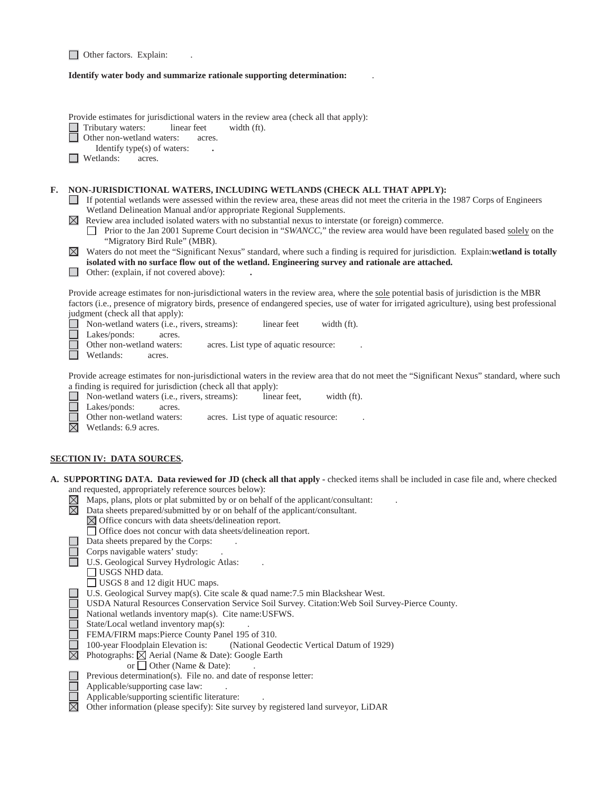□ Other factors. Explain: .

# **Identify water body and summarize rationale supporting determination:** .

|    | Provide estimates for jurisdictional waters in the review area (check all that apply):<br>Tributary waters:<br>linear feet<br>width (ft).<br>Other non-wetland waters:<br>acres.<br>Identify type(s) of waters:<br>Wetlands:<br>acres.                                                                                                                                                                                                                                                                                                                                                                                                                                                                                                                                                                                                                                                                                                                                                              |  |  |  |  |
|----|-----------------------------------------------------------------------------------------------------------------------------------------------------------------------------------------------------------------------------------------------------------------------------------------------------------------------------------------------------------------------------------------------------------------------------------------------------------------------------------------------------------------------------------------------------------------------------------------------------------------------------------------------------------------------------------------------------------------------------------------------------------------------------------------------------------------------------------------------------------------------------------------------------------------------------------------------------------------------------------------------------|--|--|--|--|
| F. | NON-JURISDICTIONAL WATERS, INCLUDING WETLANDS (CHECK ALL THAT APPLY):<br>If potential wetlands were assessed within the review area, these areas did not meet the criteria in the 1987 Corps of Engineers<br>Wetland Delineation Manual and/or appropriate Regional Supplements.<br>$\boxtimes$ Review area included isolated waters with no substantial nexus to interstate (or foreign) commerce.<br>Prior to the Jan 2001 Supreme Court decision in "SWANCC," the review area would have been regulated based solely on the<br>"Migratory Bird Rule" (MBR).<br>Waters do not meet the "Significant Nexus" standard, where such a finding is required for jurisdiction. Explain:wetland is totally<br>$\boxtimes$<br>isolated with no surface flow out of the wetland. Engineering survey and rationale are attached.<br>Other: (explain, if not covered above):                                                                                                                                  |  |  |  |  |
|    | Provide acreage estimates for non-jurisdictional waters in the review area, where the sole potential basis of jurisdiction is the MBR<br>factors (i.e., presence of migratory birds, presence of endangered species, use of water for irrigated agriculture), using best professional<br>judgment (check all that apply):<br>Non-wetland waters (i.e., rivers, streams):<br>width (ft).<br>linear feet<br>Lakes/ponds:<br>acres.<br>Other non-wetland waters:<br>acres. List type of aquatic resource:<br>Wetlands:<br>acres.                                                                                                                                                                                                                                                                                                                                                                                                                                                                       |  |  |  |  |
|    | Provide acreage estimates for non-jurisdictional waters in the review area that do not meet the "Significant Nexus" standard, where such<br>a finding is required for jurisdiction (check all that apply):<br>Non-wetland waters (i.e., rivers, streams):<br>linear feet.<br>width (ft).<br>Lakes/ponds:<br>acres.<br>Other non-wetland waters:<br>acres. List type of aquatic resource:<br>$\boxtimes$<br>Wetlands: 6.9 acres.                                                                                                                                                                                                                                                                                                                                                                                                                                                                                                                                                                     |  |  |  |  |
|    | <u>SECTION IV: DATA SOURCES.</u>                                                                                                                                                                                                                                                                                                                                                                                                                                                                                                                                                                                                                                                                                                                                                                                                                                                                                                                                                                    |  |  |  |  |
|    | A. SUPPORTING DATA. Data reviewed for JD (check all that apply - checked items shall be included in case file and, where checked<br>and requested, appropriately reference sources below):<br>Maps, plans, plots or plat submitted by or on behalf of the applicant/consultant:<br>$\boxtimes$<br>$\boxtimes$<br>Data sheets prepared/submitted by or on behalf of the applicant/consultant.<br>$\boxtimes$ Office concurs with data sheets/delineation report.<br>□ Office does not concur with data sheets/delineation report.<br>Data sheets prepared by the Corps:<br>Corps navigable waters' study:<br>U.S. Geological Survey Hydrologic Atlas:<br>USGS NHD data.<br>□ USGS 8 and 12 digit HUC maps.<br>U.S. Geological Survey map(s). Cite scale & quad name: 7.5 min Blackshear West.<br>USDA Natural Resources Conservation Service Soil Survey. Citation: Web Soil Survey-Pierce County.<br>National wetlands inventory map(s). Cite name: USFWS.<br>State/Local wetland inventory map(s): |  |  |  |  |
|    | FEMA/FIRM maps:Pierce County Panel 195 of 310.<br>$\square$<br>100-year Floodplain Elevation is:<br>(National Geodectic Vertical Datum of 1929)<br>Photographs: $\boxtimes$ Aerial (Name & Date): Google Earth<br>or $\Box$ Other (Name & Date):<br>Previous determination(s). File no. and date of response letter:<br>Applicable/supporting case law:<br>Applicable/supporting scientific literature:                                                                                                                                                                                                                                                                                                                                                                                                                                                                                                                                                                                             |  |  |  |  |
|    | Other information (please specify): Site survey by registered land surveyor, LiDAR                                                                                                                                                                                                                                                                                                                                                                                                                                                                                                                                                                                                                                                                                                                                                                                                                                                                                                                  |  |  |  |  |